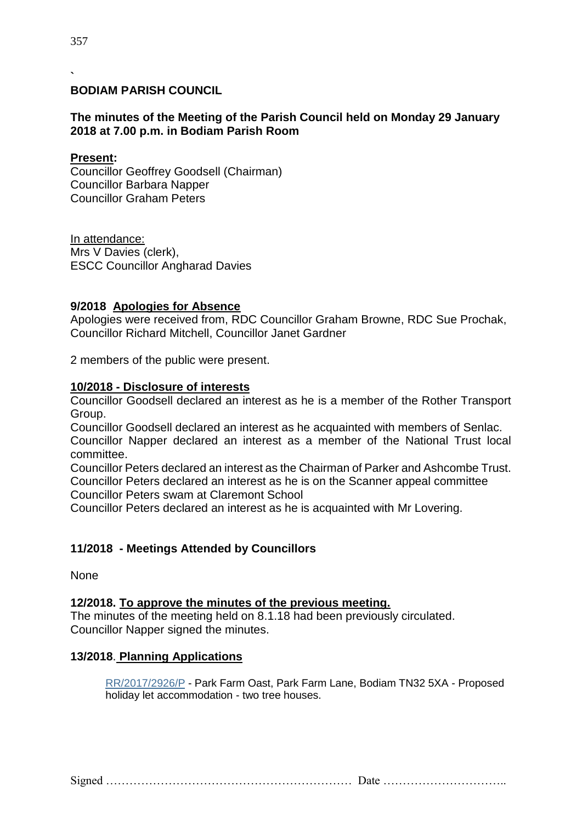#### **` BODIAM PARISH COUNCIL**

## **The minutes of the Meeting of the Parish Council held on Monday 29 January 2018 at 7.00 p.m. in Bodiam Parish Room**

### **Present:**

Councillor Geoffrey Goodsell (Chairman) Councillor Barbara Napper Councillor Graham Peters

In attendance: Mrs V Davies (clerk), ESCC Councillor Angharad Davies

#### **9/2018 Apologies for Absence**

Apologies were received from, RDC Councillor Graham Browne, RDC Sue Prochak, Councillor Richard Mitchell, Councillor Janet Gardner

2 members of the public were present.

#### **10/2018 - Disclosure of interests**

Councillor Goodsell declared an interest as he is a member of the Rother Transport Group.

Councillor Goodsell declared an interest as he acquainted with members of Senlac. Councillor Napper declared an interest as a member of the National Trust local committee.

Councillor Peters declared an interest as the Chairman of Parker and Ashcombe Trust. Councillor Peters declared an interest as he is on the Scanner appeal committee Councillor Peters swam at Claremont School

Councillor Peters declared an interest as he is acquainted with Mr Lovering.

### **11/2018 - Meetings Attended by Councillors**

**None** 

### **12/2018. To approve the minutes of the previous meeting.**

The minutes of the meeting held on 8.1.18 had been previously circulated. Councillor Napper signed the minutes.

### **13/2018**. **Planning Applications**

[RR/2017/2926/P](http://planweb01.rother.gov.uk/OcellaWeb/planningDetails?reference=RR/2017/2926/P&from=planningSearch) - Park Farm Oast, Park Farm Lane, Bodiam TN32 5XA - Proposed holiday let accommodation - two tree houses.

Signed ……………………………………………………… Date …………………………..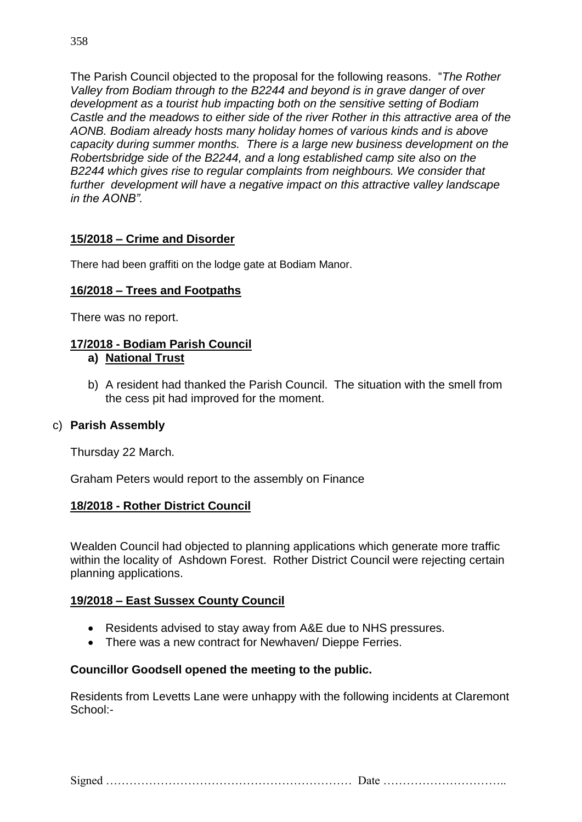The Parish Council objected to the proposal for the following reasons. "*The Rother Valley from Bodiam through to the B2244 and beyond is in grave danger of over development as a tourist hub impacting both on the sensitive setting of Bodiam Castle and the meadows to either side of the river Rother in this attractive area of the AONB. Bodiam already hosts many holiday homes of various kinds and is above capacity during summer months. There is a large new business development on the Robertsbridge side of the B2244, and a long established camp site also on the B2244 which gives rise to regular complaints from neighbours. We consider that further development will have a negative impact on this attractive valley landscape in the AONB".*

# **15/2018 – Crime and Disorder**

There had been graffiti on the lodge gate at Bodiam Manor.

## **16/2018 – Trees and Footpaths**

There was no report.

# **17/2018 - Bodiam Parish Council**

### **a) National Trust**

b) A resident had thanked the Parish Council. The situation with the smell from the cess pit had improved for the moment.

## c) **Parish Assembly**

Thursday 22 March.

Graham Peters would report to the assembly on Finance

## **18/2018 - Rother District Council**

Wealden Council had objected to planning applications which generate more traffic within the locality of Ashdown Forest. Rother District Council were rejecting certain planning applications.

## **19/2018 – East Sussex County Council**

- Residents advised to stay away from A&E due to NHS pressures.
- There was a new contract for Newhaven/ Dieppe Ferries.

## **Councillor Goodsell opened the meeting to the public.**

Residents from Levetts Lane were unhappy with the following incidents at Claremont School:-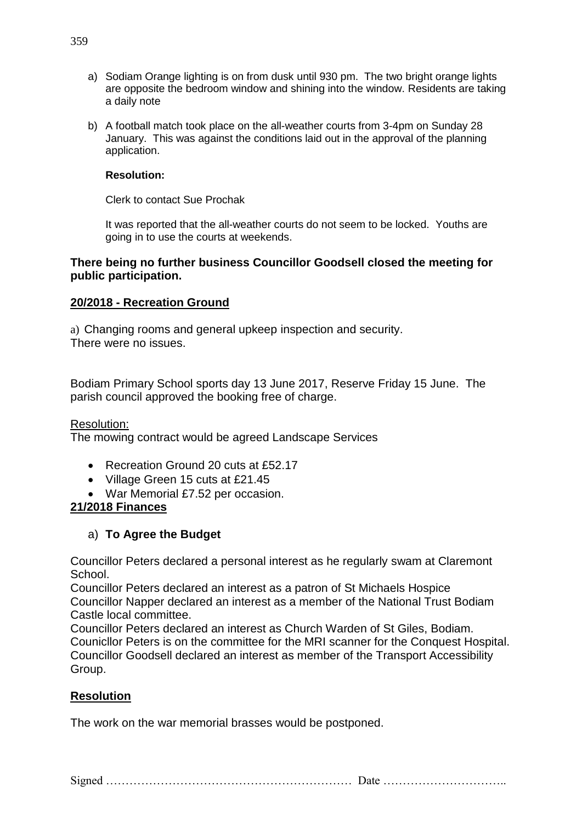- a) Sodiam Orange lighting is on from dusk until 930 pm. The two bright orange lights are opposite the bedroom window and shining into the window. Residents are taking a daily note
- b) A football match took place on the all-weather courts from 3-4pm on Sunday 28 January. This was against the conditions laid out in the approval of the planning application.

#### **Resolution:**

Clerk to contact Sue Prochak

It was reported that the all-weather courts do not seem to be locked. Youths are going in to use the courts at weekends.

#### **There being no further business Councillor Goodsell closed the meeting for public participation.**

## **20/2018 - Recreation Ground**

a) Changing rooms and general upkeep inspection and security. There were no issues.

Bodiam Primary School sports day 13 June 2017, Reserve Friday 15 June. The parish council approved the booking free of charge.

Resolution:

The mowing contract would be agreed Landscape Services

- Recreation Ground 20 cuts at £52.17
- Village Green 15 cuts at £21.45
- War Memorial £7.52 per occasion.

### **21/2018 Finances**

## a) **To Agree the Budget**

Councillor Peters declared a personal interest as he regularly swam at Claremont School.

Councillor Peters declared an interest as a patron of St Michaels Hospice Councillor Napper declared an interest as a member of the National Trust Bodiam Castle local committee.

Councillor Peters declared an interest as Church Warden of St Giles, Bodiam. Counicllor Peters is on the committee for the MRI scanner for the Conquest Hospital. Councillor Goodsell declared an interest as member of the Transport Accessibility Group.

## **Resolution**

The work on the war memorial brasses would be postponed.